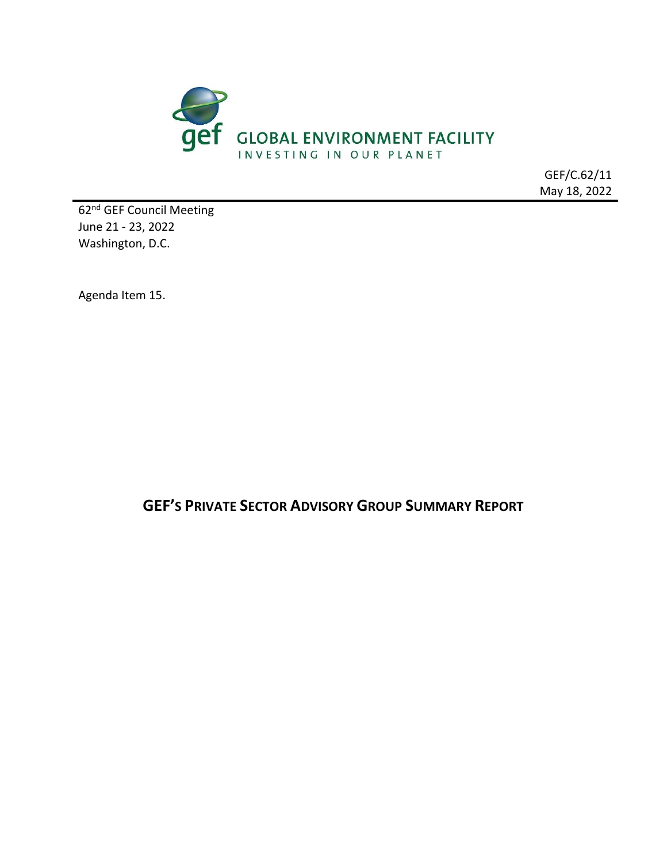

GEF/C.62/11 May 18, 2022

62nd GEF Council Meeting June 21 - 23, 2022 Washington, D.C.

Agenda Item 15.

**GEF'S PRIVATE SECTOR ADVISORY GROUP SUMMARY REPORT**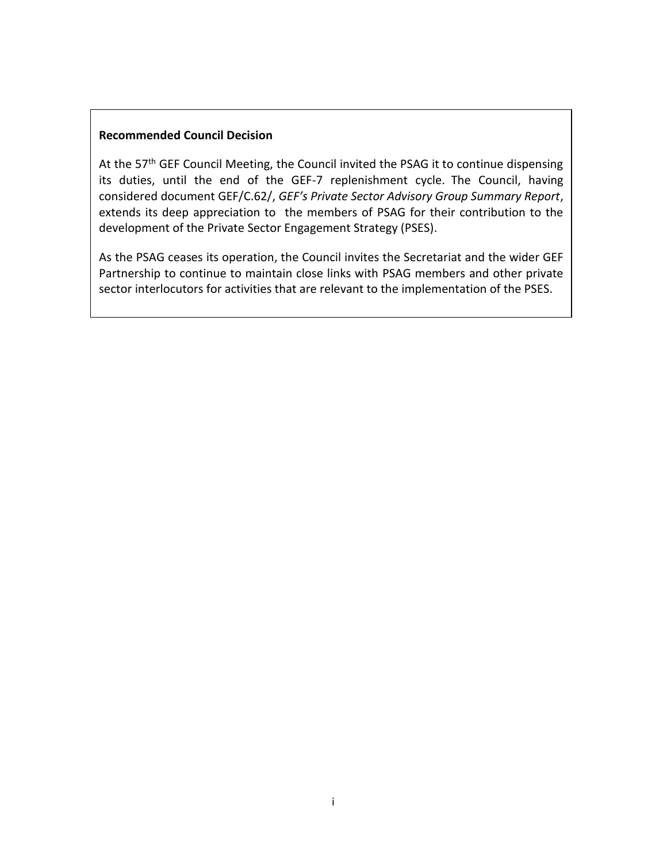#### **Recommended Council Decision**

At the 57<sup>th</sup> GEF Council Meeting, the Council invited the PSAG it to continue dispensing its duties, until the end of the GEF-7 replenishment cycle.  The Council, having considered document GEF/C.62/, *GEF's Private Sector Advisory Group Summary Report*, extends its deep appreciation to the members of PSAG for their contribution to the development of the Private Sector Engagement Strategy (PSES).

As the PSAG ceases its operation, the Council invites the Secretariat and the wider GEF Partnership to continue to maintain close links with PSAG members and other private sector interlocutors for activities that are relevant to the implementation of the PSES.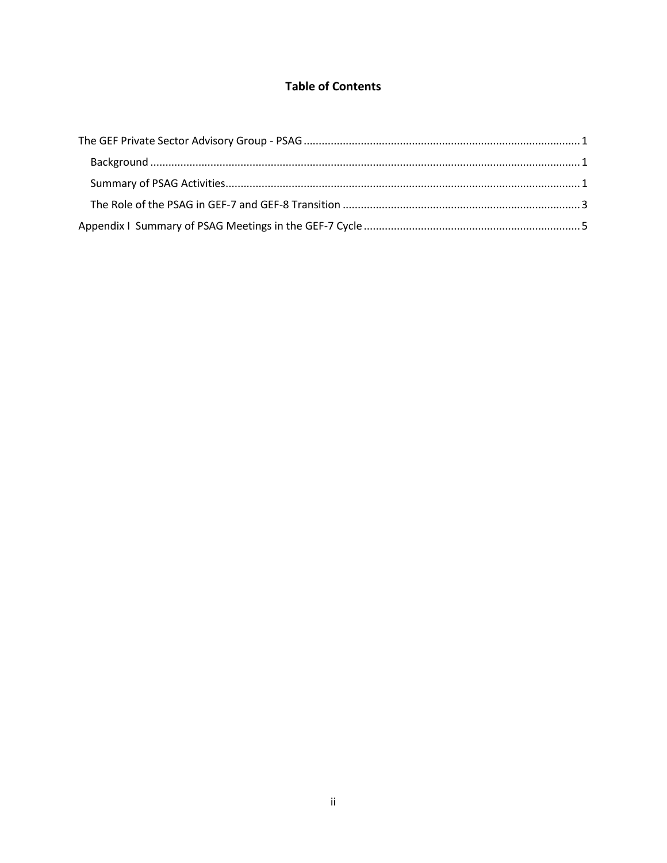## **Table of Contents**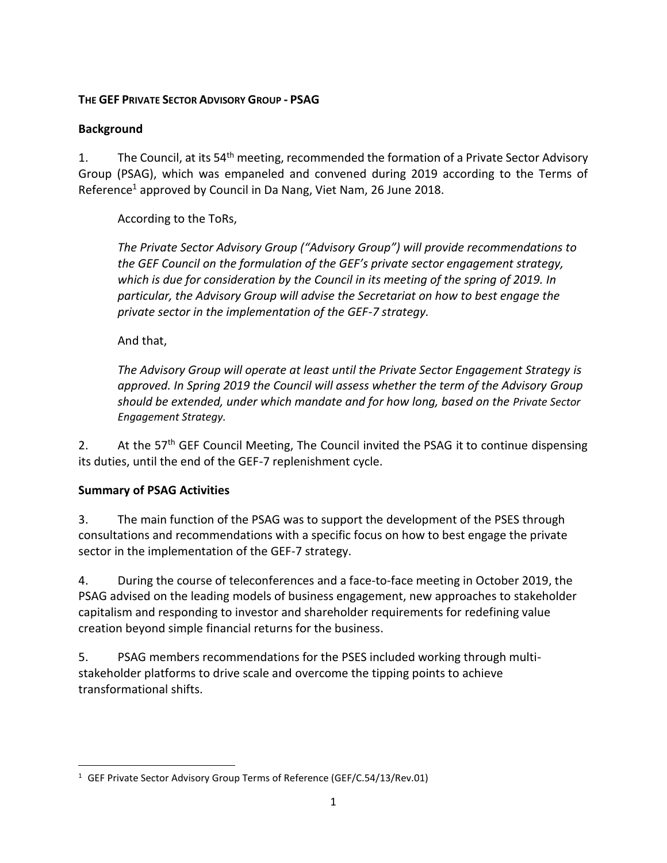#### <span id="page-3-0"></span>**THE GEF PRIVATE SECTOR ADVISORY GROUP - PSAG**

### <span id="page-3-1"></span>**Background**

1. The Council, at its 54<sup>th</sup> meeting, recommended the formation of a Private Sector Advisory Group (PSAG), which was empaneled and convened during 2019 according to the Terms of Reference<sup>1</sup> approved by Council in Da Nang, Viet Nam, 26 June 2018.

According to the ToRs,

*The Private Sector Advisory Group ("Advisory Group") will provide recommendations to the GEF Council on the formulation of the GEF's private sector engagement strategy, which is due for consideration by the Council in its meeting of the spring of 2019. In particular, the Advisory Group will advise the Secretariat on how to best engage the private sector in the implementation of the GEF-7 strategy.*

And that,

*The Advisory Group will operate at least until the Private Sector Engagement Strategy is approved. In Spring 2019 the Council will assess whether the term of the Advisory Group should be extended, under which mandate and for how long, based on the Private Sector Engagement Strategy.*

2. At the 57<sup>th</sup> GEF Council Meeting, The Council invited the PSAG it to continue dispensing its duties, until the end of the GEF-7 replenishment cycle. 

#### <span id="page-3-2"></span>**Summary of PSAG Activities**

3. The main function of the PSAG was to support the development of the PSES through consultations and recommendations with a specific focus on how to best engage the private sector in the implementation of the GEF-7 strategy.

4. During the course of teleconferences and a face-to-face meeting in October 2019, the PSAG advised on the leading models of business engagement, new approaches to stakeholder capitalism and responding to investor and shareholder requirements for redefining value creation beyond simple financial returns for the business.

5. PSAG members recommendations for the PSES included working through multistakeholder platforms to drive scale and overcome the tipping points to achieve transformational shifts.

<sup>&</sup>lt;sup>1</sup> GEF Private Sector Advisory Group Terms of Reference (GEF/C.54/13/Rev.01)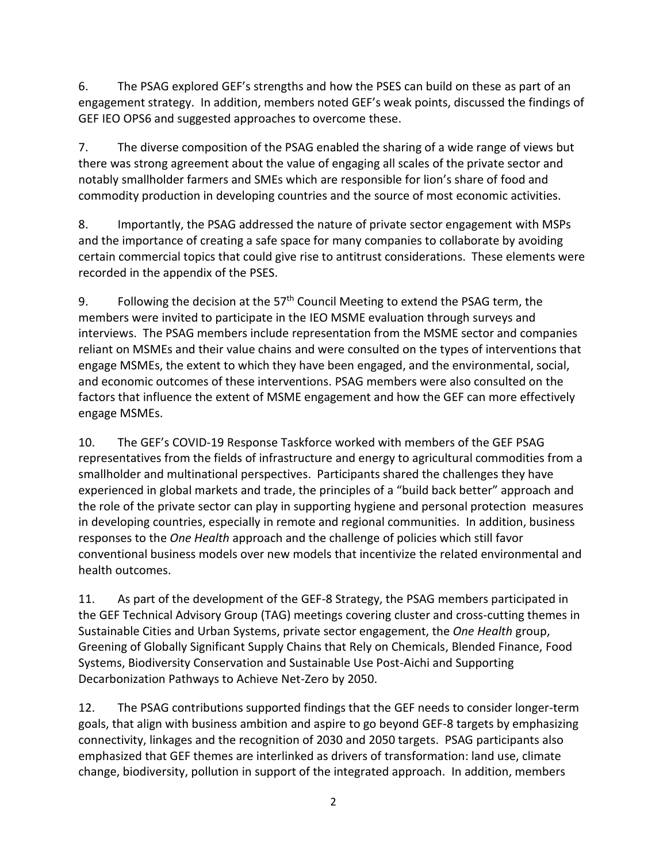6. The PSAG explored GEF's strengths and how the PSES can build on these as part of an engagement strategy. In addition, members noted GEF's weak points, discussed the findings of GEF IEO OPS6 and suggested approaches to overcome these.

7. The diverse composition of the PSAG enabled the sharing of a wide range of views but there was strong agreement about the value of engaging all scales of the private sector and notably smallholder farmers and SMEs which are responsible for lion's share of food and commodity production in developing countries and the source of most economic activities.

8. Importantly, the PSAG addressed the nature of private sector engagement with MSPs and the importance of creating a safe space for many companies to collaborate by avoiding certain commercial topics that could give rise to antitrust considerations. These elements were recorded in the appendix of the PSES.

9. Following the decision at the  $57<sup>th</sup>$  Council Meeting to extend the PSAG term, the members were invited to participate in the IEO MSME evaluation through surveys and interviews. The PSAG members include representation from the MSME sector and companies reliant on MSMEs and their value chains and were consulted on the types of interventions that engage MSMEs, the extent to which they have been engaged, and the environmental, social, and economic outcomes of these interventions. PSAG members were also consulted on the factors that influence the extent of MSME engagement and how the GEF can more effectively engage MSMEs.

10. The GEF's COVID-19 Response Taskforce worked with members of the GEF PSAG representatives from the fields of infrastructure and energy to agricultural commodities from a smallholder and multinational perspectives. Participants shared the challenges they have experienced in global markets and trade, the principles of a "build back better" approach and the role of the private sector can play in supporting hygiene and personal protection measures in developing countries, especially in remote and regional communities. In addition, business responses to the *One Health* approach and the challenge of policies which still favor conventional business models over new models that incentivize the related environmental and health outcomes.

11. As part of the development of the GEF-8 Strategy, the PSAG members participated in the GEF Technical Advisory Group (TAG) meetings covering cluster and cross-cutting themes in Sustainable Cities and Urban Systems, private sector engagement, the *One Health* group, Greening of Globally Significant Supply Chains that Rely on Chemicals, Blended Finance, Food Systems, Biodiversity Conservation and Sustainable Use Post-Aichi and Supporting Decarbonization Pathways to Achieve Net-Zero by 2050.

12. The PSAG contributions supported findings that the GEF needs to consider longer-term goals, that align with business ambition and aspire to go beyond GEF-8 targets by emphasizing connectivity, linkages and the recognition of 2030 and 2050 targets. PSAG participants also emphasized that GEF themes are interlinked as drivers of transformation: land use, climate change, biodiversity, pollution in support of the integrated approach. In addition, members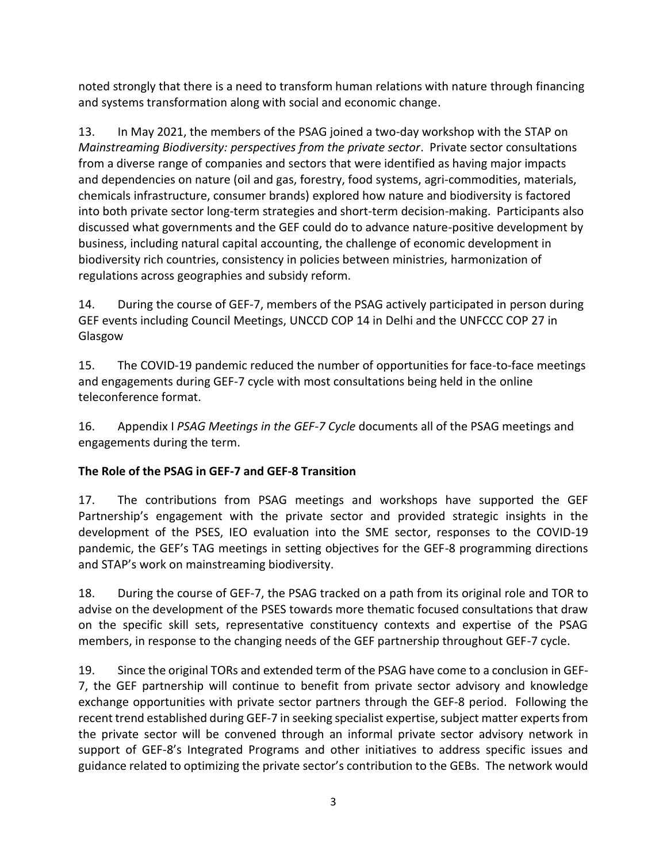noted strongly that there is a need to transform human relations with nature through financing and systems transformation along with social and economic change.

13. In May 2021, the members of the PSAG joined a two-day workshop with the STAP on *Mainstreaming Biodiversity: perspectives from the private sector*. Private sector consultations from a diverse range of companies and sectors that were identified as having major impacts and dependencies on nature (oil and gas, forestry, food systems, agri-commodities, materials, chemicals infrastructure, consumer brands) explored how nature and biodiversity is factored into both private sector long-term strategies and short-term decision-making. Participants also discussed what governments and the GEF could do to advance nature-positive development by business, including natural capital accounting, the challenge of economic development in biodiversity rich countries, consistency in policies between ministries, harmonization of regulations across geographies and subsidy reform.

14. During the course of GEF-7, members of the PSAG actively participated in person during GEF events including Council Meetings, UNCCD COP 14 in Delhi and the UNFCCC COP 27 in Glasgow

15. The COVID-19 pandemic reduced the number of opportunities for face-to-face meetings and engagements during GEF-7 cycle with most consultations being held in the online teleconference format.

16. Appendix I *PSAG Meetings in the GEF-7 Cycle* documents all of the PSAG meetings and engagements during the term.

### <span id="page-5-0"></span>**The Role of the PSAG in GEF-7 and GEF-8 Transition**

17. The contributions from PSAG meetings and workshops have supported the GEF Partnership's engagement with the private sector and provided strategic insights in the development of the PSES, IEO evaluation into the SME sector, responses to the COVID-19 pandemic, the GEF's TAG meetings in setting objectives for the GEF-8 programming directions and STAP's work on mainstreaming biodiversity.

18. During the course of GEF-7, the PSAG tracked on a path from its original role and TOR to advise on the development of the PSES towards more thematic focused consultations that draw on the specific skill sets, representative constituency contexts and expertise of the PSAG members, in response to the changing needs of the GEF partnership throughout GEF-7 cycle.

19. Since the original TORs and extended term of the PSAG have come to a conclusion in GEF-7, the GEF partnership will continue to benefit from private sector advisory and knowledge exchange opportunities with private sector partners through the GEF-8 period. Following the recent trend established during GEF-7 in seeking specialist expertise, subject matter experts from the private sector will be convened through an informal private sector advisory network in support of GEF-8's Integrated Programs and other initiatives to address specific issues and guidance related to optimizing the private sector's contribution to the GEBs. The network would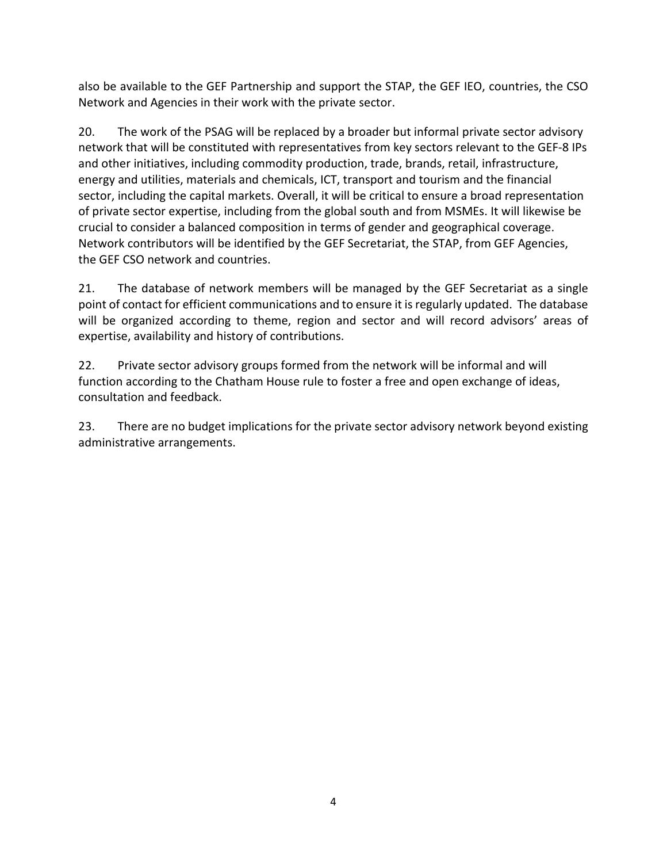also be available to the GEF Partnership and support the STAP, the GEF IEO, countries, the CSO Network and Agencies in their work with the private sector.

20. The work of the PSAG will be replaced by a broader but informal private sector advisory network that will be constituted with representatives from key sectors relevant to the GEF-8 IPs and other initiatives, including commodity production, trade, brands, retail, infrastructure, energy and utilities, materials and chemicals, ICT, transport and tourism and the financial sector, including the capital markets. Overall, it will be critical to ensure a broad representation of private sector expertise, including from the global south and from MSMEs. It will likewise be crucial to consider a balanced composition in terms of gender and geographical coverage. Network contributors will be identified by the GEF Secretariat, the STAP, from GEF Agencies, the GEF CSO network and countries.

21. The database of network members will be managed by the GEF Secretariat as a single point of contact for efficient communications and to ensure it is regularly updated. The database will be organized according to theme, region and sector and will record advisors' areas of expertise, availability and history of contributions.

22. Private sector advisory groups formed from the network will be informal and will function according to the Chatham House rule to foster a free and open exchange of ideas, consultation and feedback.

23. There are no budget implications for the private sector advisory network beyond existing administrative arrangements.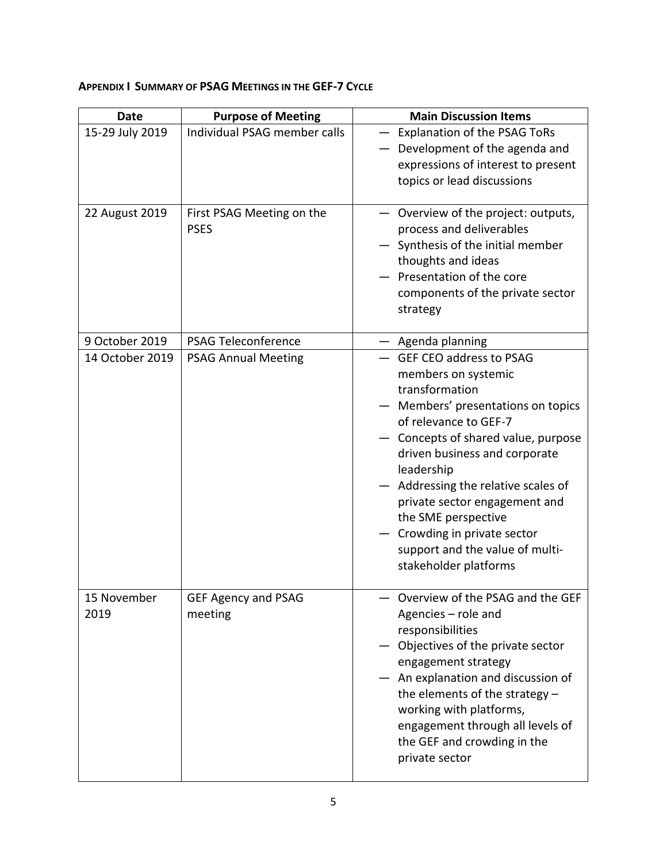# <span id="page-7-0"></span>**APPENDIX I SUMMARY OF PSAG MEETINGS IN THE GEF-7 CYCLE**

| <b>Date</b>         | <b>Purpose of Meeting</b>                | <b>Main Discussion Items</b>                                                                                                                                                                                                                                                                                                                                                                                    |
|---------------------|------------------------------------------|-----------------------------------------------------------------------------------------------------------------------------------------------------------------------------------------------------------------------------------------------------------------------------------------------------------------------------------------------------------------------------------------------------------------|
| 15-29 July 2019     | Individual PSAG member calls             | Explanation of the PSAG ToRs<br>- Development of the agenda and<br>expressions of interest to present<br>topics or lead discussions                                                                                                                                                                                                                                                                             |
| 22 August 2019      | First PSAG Meeting on the<br><b>PSES</b> | - Overview of the project: outputs,<br>process and deliverables<br>Synthesis of the initial member<br>thoughts and ideas<br>Presentation of the core<br>components of the private sector<br>strategy                                                                                                                                                                                                            |
| 9 October 2019      | <b>PSAG Teleconference</b>               | Agenda planning                                                                                                                                                                                                                                                                                                                                                                                                 |
| 14 October 2019     | <b>PSAG Annual Meeting</b>               | <b>GEF CEO address to PSAG</b><br>members on systemic<br>transformation<br>Members' presentations on topics<br>of relevance to GEF-7<br>Concepts of shared value, purpose<br>driven business and corporate<br>leadership<br>Addressing the relative scales of<br>private sector engagement and<br>the SME perspective<br>Crowding in private sector<br>support and the value of multi-<br>stakeholder platforms |
| 15 November<br>2019 | <b>GEF Agency and PSAG</b><br>meeting    | Overview of the PSAG and the GEF<br>Agencies - role and<br>responsibilities<br>Objectives of the private sector<br>engagement strategy<br>An explanation and discussion of<br>the elements of the strategy $-$<br>working with platforms,<br>engagement through all levels of<br>the GEF and crowding in the<br>private sector                                                                                  |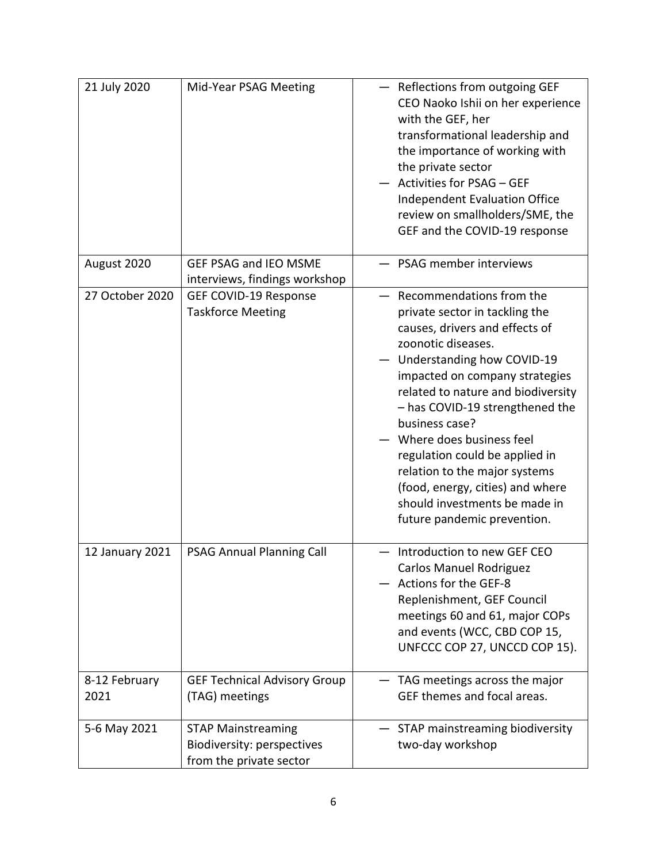| 21 July 2020          | Mid-Year PSAG Meeting                                                              | Reflections from outgoing GEF<br>CEO Naoko Ishii on her experience<br>with the GEF, her<br>transformational leadership and<br>the importance of working with<br>the private sector<br>Activities for PSAG - GEF<br><b>Independent Evaluation Office</b><br>review on smallholders/SME, the<br>GEF and the COVID-19 response                                                                                                                                                      |
|-----------------------|------------------------------------------------------------------------------------|----------------------------------------------------------------------------------------------------------------------------------------------------------------------------------------------------------------------------------------------------------------------------------------------------------------------------------------------------------------------------------------------------------------------------------------------------------------------------------|
| August 2020           | <b>GEF PSAG and IEO MSME</b><br>interviews, findings workshop                      | PSAG member interviews                                                                                                                                                                                                                                                                                                                                                                                                                                                           |
| 27 October 2020       | GEF COVID-19 Response<br><b>Taskforce Meeting</b>                                  | Recommendations from the<br>private sector in tackling the<br>causes, drivers and effects of<br>zoonotic diseases.<br>Understanding how COVID-19<br>impacted on company strategies<br>related to nature and biodiversity<br>- has COVID-19 strengthened the<br>business case?<br>Where does business feel<br>regulation could be applied in<br>relation to the major systems<br>(food, energy, cities) and where<br>should investments be made in<br>future pandemic prevention. |
| 12 January 2021       | <b>PSAG Annual Planning Call</b>                                                   | Introduction to new GEF CEO<br><b>Carlos Manuel Rodriguez</b><br>Actions for the GEF-8<br>Replenishment, GEF Council<br>meetings 60 and 61, major COPs<br>and events (WCC, CBD COP 15,<br>UNFCCC COP 27, UNCCD COP 15).                                                                                                                                                                                                                                                          |
| 8-12 February<br>2021 | <b>GEF Technical Advisory Group</b><br>(TAG) meetings                              | TAG meetings across the major<br>GEF themes and focal areas.                                                                                                                                                                                                                                                                                                                                                                                                                     |
| 5-6 May 2021          | <b>STAP Mainstreaming</b><br>Biodiversity: perspectives<br>from the private sector | STAP mainstreaming biodiversity<br>two-day workshop                                                                                                                                                                                                                                                                                                                                                                                                                              |